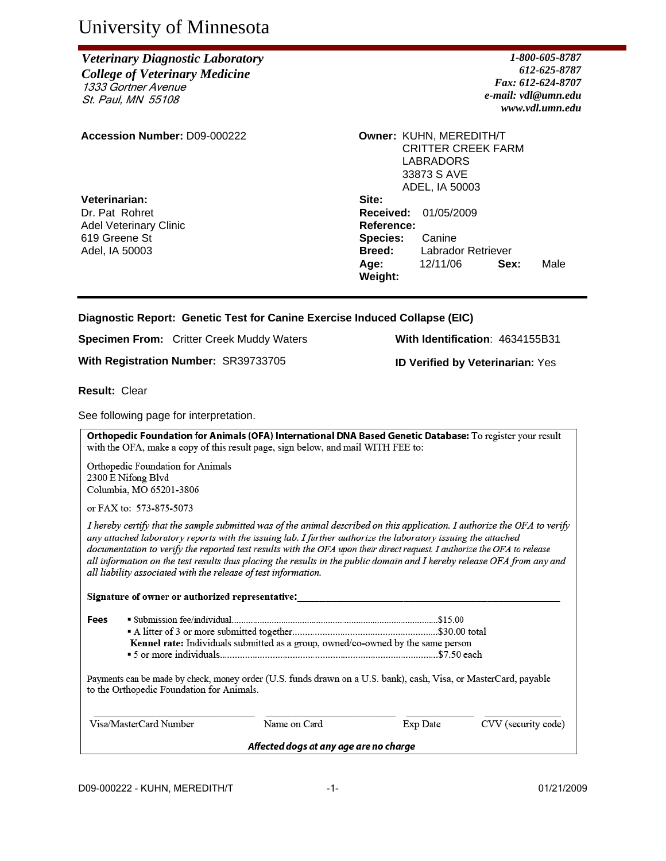# University of Minnesota

## *Veterinary Diagnostic Laboratory College of Veterinary Medicine* 1333 Gortner Avenue St. Paul, MN 55108

**Accession Number: D09-000222** 

**Veterinarian:** Dr. Pat Rohret Adel Veterinary Clinic 619 Greene St Adel, IA 50003

*1-800-605-8787 612-625-8787 Fax: 612-624-8707 e-mail: vdl@umn.edu www.vdl.umn.edu*

|                 | <b>Owner: KUHN, MEREDITH/T</b><br><b>CRITTER CREEK FARM</b> |      |      |
|-----------------|-------------------------------------------------------------|------|------|
|                 | LABRADORS                                                   |      |      |
|                 | 33873 S AVE                                                 |      |      |
|                 | ADEL, IA 50003                                              |      |      |
| Site:           |                                                             |      |      |
|                 | <b>Received: 01/05/2009</b>                                 |      |      |
| Reference:      |                                                             |      |      |
| <b>Species:</b> | Canine                                                      |      |      |
| <b>Breed:</b>   | Labrador Retriever                                          |      |      |
| Age:            | 12/11/06                                                    | Sex: | Male |
| Weight:         |                                                             |      |      |

## **Diagnostic Report: Genetic Test for Canine Exercise Induced Collapse (EIC)**

**Specimen From:** Critter Creek Muddy Waters **With Identification**: 4634155B31

**With Registration Number:** SR39733705 **ID Verified by Veterinarian:** Yes

**Result:** Clear

See following page for interpretation.

Orthopedic Foundation for Animals (OFA) International DNA Based Genetic Database: To register your result with the OFA, make a copy of this result page, sign below, and mail WITH FEE to:

Orthopedic Foundation for Animals 2300 E Nifong Blvd Columbia, MO 65201-3806

or FAX to: 573-875-5073

I hereby certify that the sample submitted was of the animal described on this application. I authorize the OFA to verify any attached laboratory reports with the issuing lab. I further authorize the laboratory issuing the attached documentation to verify the reported test results with the OFA upon their direct request. I authorize the OFA to release all information on the test results thus placing the results in the public domain and I hereby release OFA from any and all liability associated with the release of test information.

Signature of owner or authorized representative:

Fees Kennel rate: Individuals submitted as a group, owned/co-owned by the same person 

Payments can be made by check, money order (U.S. funds drawn on a U.S. bank), cash, Visa, or MasterCard, payable to the Orthopedic Foundation for Animals.

| Visa/MasterCard Number | Name on Card                           | Exp Date | CVV (security code) |
|------------------------|----------------------------------------|----------|---------------------|
|                        | Affected dogs at any age are no charge |          |                     |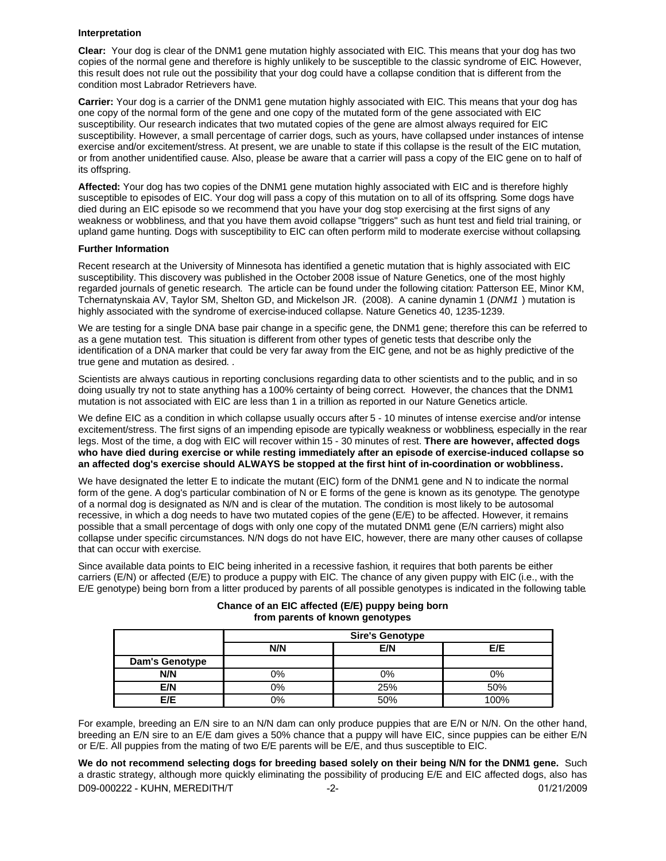#### **Interpretation**

**Clear:** Your dog is clear of the DNM1 gene mutation highly associated with EIC. This means that your dog has two copies of the normal gene and therefore is highly unlikely to be susceptible to the classic syndrome of EIC. However, this result does not rule out the possibility that your dog could have a collapse condition that is different from the condition most Labrador Retrievers have.

**Carrier:** Your dog is a carrier of the DNM1 gene mutation highly associated with EIC. This means that your dog has one copy of the normal form of the gene and one copy of the mutated form of the gene associated with EIC susceptibility. Our research indicates that two mutated copies of the gene are almost always required for EIC susceptibility. However, a small percentage of carrier dogs, such as yours, have collapsed under instances of intense exercise and/or excitement/stress. At present, we are unable to state if this collapse is the result of the EIC mutation, or from another unidentified cause. Also, please be aware that a carrier will pass a copy of the EIC gene on to half of its offspring.

**Affected:** Your dog has two copies of the DNM1 gene mutation highly associated with EIC and is therefore highly susceptible to episodes of EIC. Your dog will pass a copy of this mutation on to all of its offspring. Some dogs have died during an EIC episode so we recommend that you have your dog stop exercising at the first signs of any weakness or wobbliness, and that you have them avoid collapse "triggers" such as hunt test and field trial training, or upland game hunting. Dogs with susceptibility to EIC can often perform mild to moderate exercise without collapsing.

#### **Further Information**

Recent research at the University of Minnesota has identified a genetic mutation that is highly associated with EIC susceptibility. This discovery was published in the October 2008 issue of Nature Genetics, one of the most highly regarded journals of genetic research. The article can be found under the following citation: Patterson EE, Minor KM, Tchernatynskaia AV, Taylor SM, Shelton GD, and Mickelson JR. (2008). A canine dynamin 1 (*DNM1* ) mutation is highly associated with the syndrome of exercise-induced collapse. Nature Genetics 40, 1235-1239.

We are testing for a single DNA base pair change in a specific gene, the DNM1 gene; therefore this can be referred to as a gene mutation test. This situation is different from other types of genetic tests that describe only the identification of a DNA marker that could be very far away from the EIC gene, and not be as highly predictive of the true gene and mutation as desired..

Scientists are always cautious in reporting conclusions regarding data to other scientists and to the public, and in so doing usually try not to state anything has a 100% certainty of being correct. However, the chances that the DNM1 mutation is not associated with EIC are less than 1 in a trillion as reported in our Nature Genetics article.

We define EIC as a condition in which collapse usually occurs after 5 - 10 minutes of intense exercise and/or intense excitement/stress. The first signs of an impending episode are typically weakness or wobbliness, especially in the rear legs. Most of the time, a dog with EIC will recover within 15 - 30 minutes of rest. **There are however, affected dogs who have died during exercise or while resting immediately after an episode of exercise-induced collapse so an affected dog's exercise should ALWAYS be stopped at the first hint of in-coordination or wobbliness.**

We have designated the letter E to indicate the mutant (EIC) form of the DNM1 gene and N to indicate the normal form of the gene. A dog's particular combination of N or E forms of the gene is known as its genotype. The genotype of a normal dog is designated as N/N and is clear of the mutation. The condition is most likely to be autosomal recessive, in which a dog needs to have two mutated copies of the gene (E/E) to be affected. However, it remains possible that a small percentage of dogs with only one copy of the mutated DNM1 gene (E/N carriers) might also collapse under specific circumstances. N/N dogs do not have EIC, however, there are many other causes of collapse that can occur with exercise.

Since available data points to EIC being inherited in a recessive fashion, it requires that both parents be either carriers (E/N) or affected (E/E) to produce a puppy with EIC. The chance of any given puppy with EIC (i.e., with the E/E genotype) being born from a litter produced by parents of all possible genotypes is indicated in the following table.

|                       |       | <b>Sire's Genotype</b> |      |
|-----------------------|-------|------------------------|------|
|                       | N/N   | E/N                    | E/E  |
| <b>Dam's Genotype</b> |       |                        |      |
| N/N                   | 0%    | $0\%$                  | 0%   |
| E/N                   | $0\%$ | 25%                    | 50%  |
| E/E                   | 0%    | 50%                    | 100% |

#### **Chance of an EIC affected (E/E) puppy being born from parents of known genotypes**

For example, breeding an E/N sire to an N/N dam can only produce puppies that are E/N or N/N. On the other hand, breeding an E/N sire to an E/E dam gives a 50% chance that a puppy will have EIC, since puppies can be either E/N or E/E. All puppies from the mating of two E/E parents will be E/E, and thus susceptible to EIC.

D09-000222 - KUHN, MEREDITH/T -2- 01/21/2009 **We do not recommend selecting dogs for breeding based solely on their being N/N for the DNM1 gene.** Such a drastic strategy, although more quickly eliminating the possibility of producing E/E and EIC affected dogs, also has